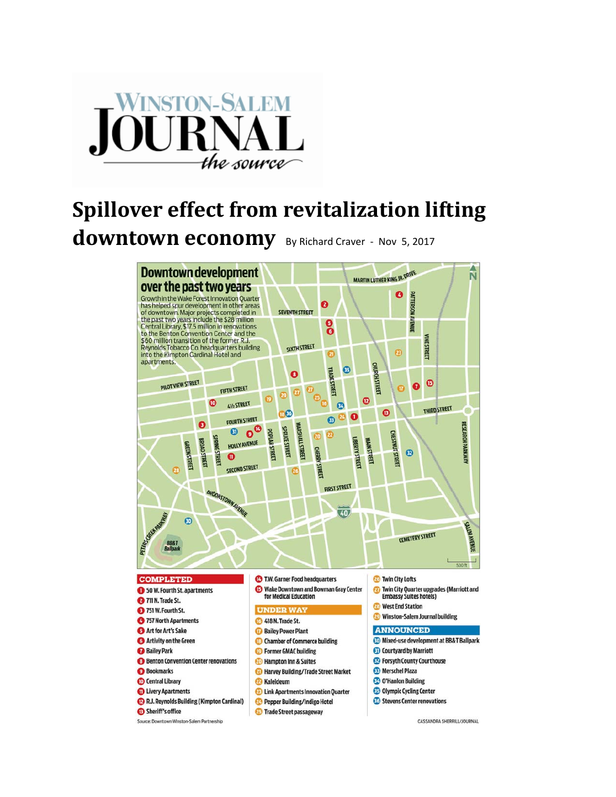

## **Spillover effect from revitalization lifting downtown economy** By Richard Craver - Nov 5, 2017

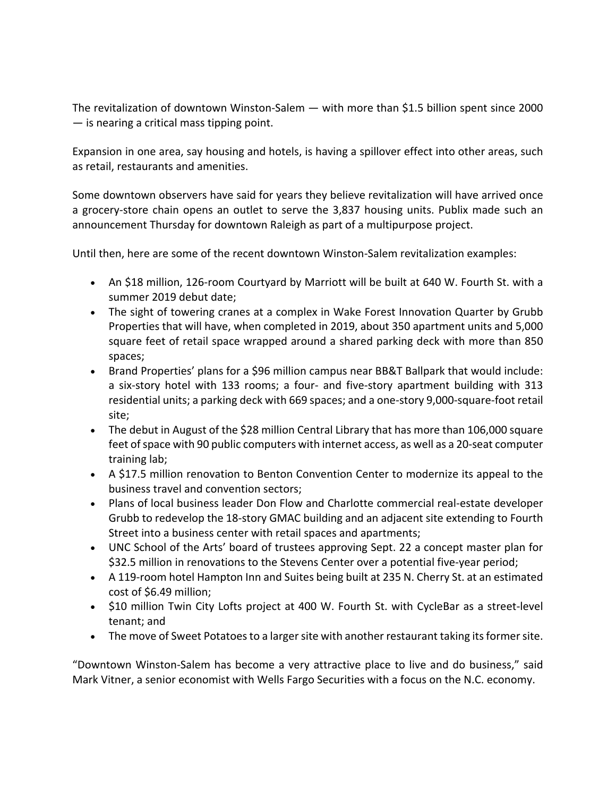The revitalization of downtown Winston-Salem — with more than \$1.5 billion spent since 2000 — is nearing a critical mass tipping point.

Expansion in one area, say housing and hotels, is having a spillover effect into other areas, such as retail, restaurants and amenities.

Some downtown observers have said for years they believe revitalization will have arrived once a grocery‐store chain opens an outlet to serve the 3,837 housing units. Publix made such an announcement Thursday for downtown Raleigh as part of a multipurpose project.

Until then, here are some of the recent downtown Winston‐Salem revitalization examples:

- An \$18 million, 126‐room Courtyard by Marriott will be built at 640 W. Fourth St. with a summer 2019 debut date;
- The sight of towering cranes at a complex in Wake Forest Innovation Quarter by Grubb Properties that will have, when completed in 2019, about 350 apartment units and 5,000 square feet of retail space wrapped around a shared parking deck with more than 850 spaces;
- Brand Properties' plans for a \$96 million campus near BB&T Ballpark that would include: a six‐story hotel with 133 rooms; a four‐ and five‐story apartment building with 313 residential units; a parking deck with 669 spaces; and a one‐story 9,000‐square‐foot retail site;
- The debut in August of the \$28 million Central Library that has more than 106,000 square feet of space with 90 public computers with internet access, as well as a 20-seat computer training lab;
- A \$17.5 million renovation to Benton Convention Center to modernize its appeal to the business travel and convention sectors;
- Plans of local business leader Don Flow and Charlotte commercial real-estate developer Grubb to redevelop the 18‐story GMAC building and an adjacent site extending to Fourth Street into a business center with retail spaces and apartments;
- UNC School of the Arts' board of trustees approving Sept. 22 a concept master plan for \$32.5 million in renovations to the Stevens Center over a potential five‐year period;
- A 119‐room hotel Hampton Inn and Suites being built at 235 N. Cherry St. at an estimated cost of \$6.49 million;
- \$10 million Twin City Lofts project at 400 W. Fourth St. with CycleBar as a street-level tenant; and
- The move of Sweet Potatoes to a larger site with another restaurant taking its former site.

"Downtown Winston‐Salem has become a very attractive place to live and do business," said Mark Vitner, a senior economist with Wells Fargo Securities with a focus on the N.C. economy.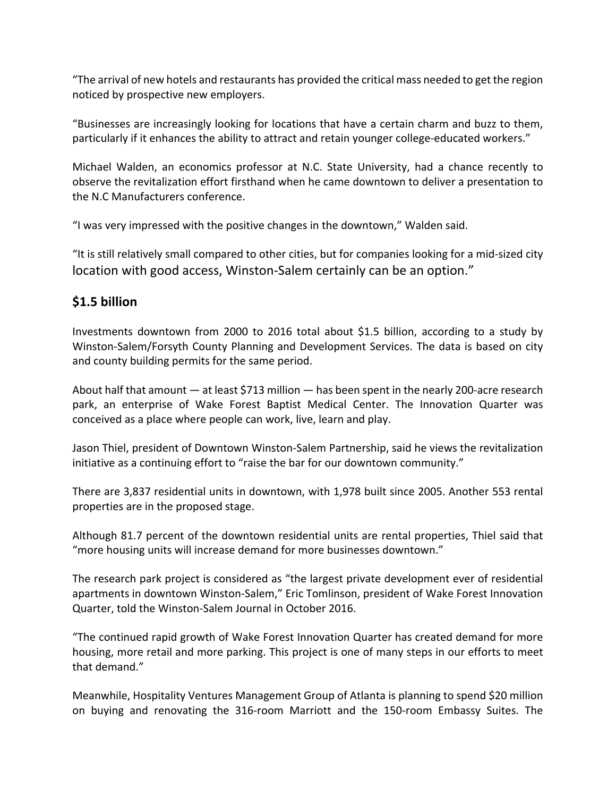"The arrival of new hotels and restaurants has provided the critical mass needed to get the region noticed by prospective new employers.

"Businesses are increasingly looking for locations that have a certain charm and buzz to them, particularly if it enhances the ability to attract and retain younger college-educated workers."

Michael Walden, an economics professor at N.C. State University, had a chance recently to observe the revitalization effort firsthand when he came downtown to deliver a presentation to the N.C Manufacturers conference.

"I was very impressed with the positive changes in the downtown," Walden said.

"It is still relatively small compared to other cities, but for companies looking for a mid‐sized city location with good access, Winston-Salem certainly can be an option."

## **\$1.5 billion**

Investments downtown from 2000 to 2016 total about \$1.5 billion, according to a study by Winston‐Salem/Forsyth County Planning and Development Services. The data is based on city and county building permits for the same period.

About half that amount — at least \$713 million — has been spent in the nearly 200‐acre research park, an enterprise of Wake Forest Baptist Medical Center. The Innovation Quarter was conceived as a place where people can work, live, learn and play.

Jason Thiel, president of Downtown Winston‐Salem Partnership, said he views the revitalization initiative as a continuing effort to "raise the bar for our downtown community."

There are 3,837 residential units in downtown, with 1,978 built since 2005. Another 553 rental properties are in the proposed stage.

Although 81.7 percent of the downtown residential units are rental properties, Thiel said that "more housing units will increase demand for more businesses downtown."

The research park project is considered as "the largest private development ever of residential apartments in downtown Winston‐Salem," Eric Tomlinson, president of Wake Forest Innovation Quarter, told the Winston‐Salem Journal in October 2016.

"The continued rapid growth of Wake Forest Innovation Quarter has created demand for more housing, more retail and more parking. This project is one of many steps in our efforts to meet that demand."

Meanwhile, Hospitality Ventures Management Group of Atlanta is planning to spend \$20 million on buying and renovating the 316‐room Marriott and the 150‐room Embassy Suites. The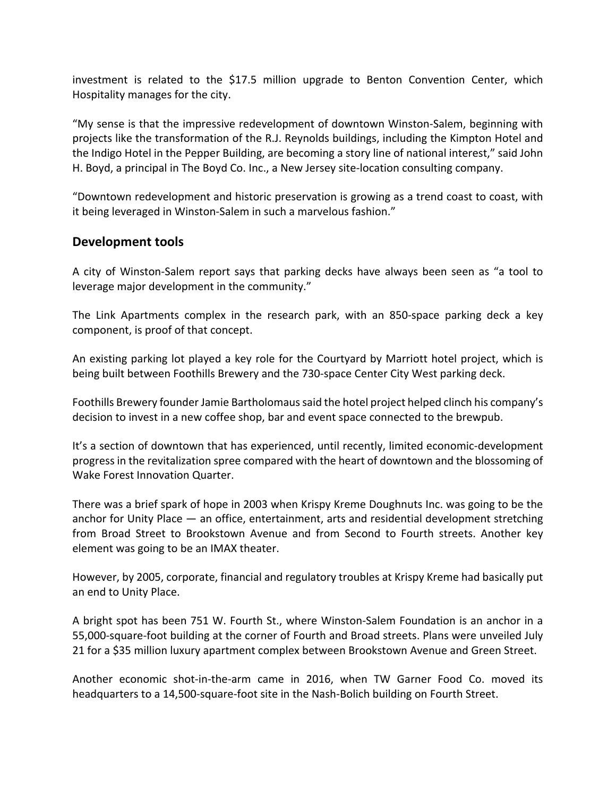investment is related to the \$17.5 million upgrade to Benton Convention Center, which Hospitality manages for the city.

"My sense is that the impressive redevelopment of downtown Winston‐Salem, beginning with projects like the transformation of the R.J. Reynolds buildings, including the Kimpton Hotel and the Indigo Hotel in the Pepper Building, are becoming a story line of national interest," said John H. Boyd, a principal in The Boyd Co. Inc., a New Jersey site‐location consulting company.

"Downtown redevelopment and historic preservation is growing as a trend coast to coast, with it being leveraged in Winston‐Salem in such a marvelous fashion."

## **Development tools**

A city of Winston‐Salem report says that parking decks have always been seen as "a tool to leverage major development in the community."

The Link Apartments complex in the research park, with an 850‐space parking deck a key component, is proof of that concept.

An existing parking lot played a key role for the Courtyard by Marriott hotel project, which is being built between Foothills Brewery and the 730‐space Center City West parking deck.

Foothills Brewery founder Jamie Bartholomaussaid the hotel project helped clinch his company's decision to invest in a new coffee shop, bar and event space connected to the brewpub.

It's a section of downtown that has experienced, until recently, limited economic‐development progress in the revitalization spree compared with the heart of downtown and the blossoming of Wake Forest Innovation Quarter.

There was a brief spark of hope in 2003 when Krispy Kreme Doughnuts Inc. was going to be the anchor for Unity Place — an office, entertainment, arts and residential development stretching from Broad Street to Brookstown Avenue and from Second to Fourth streets. Another key element was going to be an IMAX theater.

However, by 2005, corporate, financial and regulatory troubles at Krispy Kreme had basically put an end to Unity Place.

A bright spot has been 751 W. Fourth St., where Winston‐Salem Foundation is an anchor in a 55,000‐square‐foot building at the corner of Fourth and Broad streets. Plans were unveiled July 21 for a \$35 million luxury apartment complex between Brookstown Avenue and Green Street.

Another economic shot‐in‐the‐arm came in 2016, when TW Garner Food Co. moved its headquarters to a 14,500-square-foot site in the Nash-Bolich building on Fourth Street.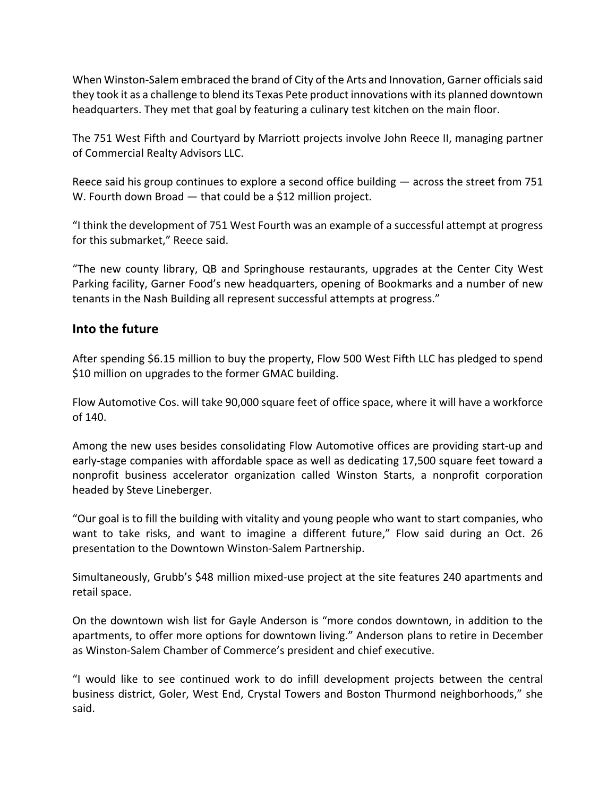When Winston‐Salem embraced the brand of City of the Arts and Innovation, Garner officialssaid they took it as a challenge to blend its Texas Pete product innovations with its planned downtown headquarters. They met that goal by featuring a culinary test kitchen on the main floor.

The 751 West Fifth and Courtyard by Marriott projects involve John Reece II, managing partner of Commercial Realty Advisors LLC.

Reece said his group continues to explore a second office building — across the street from 751 W. Fourth down Broad — that could be a \$12 million project.

"I think the development of 751 West Fourth was an example of a successful attempt at progress for this submarket," Reece said.

"The new county library, QB and Springhouse restaurants, upgrades at the Center City West Parking facility, Garner Food's new headquarters, opening of Bookmarks and a number of new tenants in the Nash Building all represent successful attempts at progress."

## **Into the future**

After spending \$6.15 million to buy the property, Flow 500 West Fifth LLC has pledged to spend \$10 million on upgrades to the former GMAC building.

Flow Automotive Cos. will take 90,000 square feet of office space, where it will have a workforce of 140.

Among the new uses besides consolidating Flow Automotive offices are providing start‐up and early‐stage companies with affordable space as well as dedicating 17,500 square feet toward a nonprofit business accelerator organization called Winston Starts, a nonprofit corporation headed by Steve Lineberger.

"Our goal is to fill the building with vitality and young people who want to start companies, who want to take risks, and want to imagine a different future," Flow said during an Oct. 26 presentation to the Downtown Winston‐Salem Partnership.

Simultaneously, Grubb's \$48 million mixed‐use project at the site features 240 apartments and retail space.

On the downtown wish list for Gayle Anderson is "more condos downtown, in addition to the apartments, to offer more options for downtown living." Anderson plans to retire in December as Winston‐Salem Chamber of Commerce's president and chief executive.

"I would like to see continued work to do infill development projects between the central business district, Goler, West End, Crystal Towers and Boston Thurmond neighborhoods," she said.